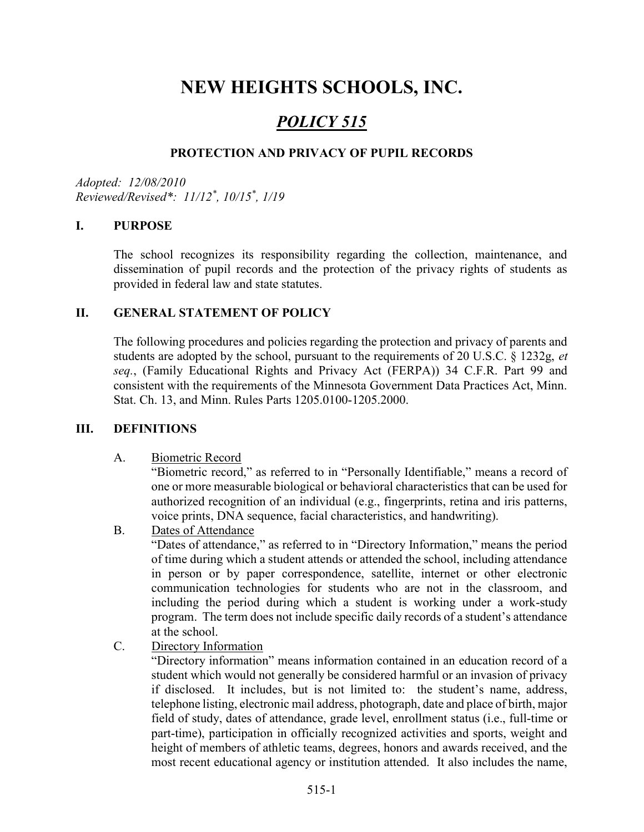# NEW HEIGHTS SCHOOLS, INC.

# POLICY 515

#### PROTECTION AND PRIVACY OF PUPIL RECORDS

Adopted: 12/08/2010 Reviewed/Revised\*: 11/12\* , 10/15\* , 1/19

#### I. PURPOSE

The school recognizes its responsibility regarding the collection, maintenance, and dissemination of pupil records and the protection of the privacy rights of students as provided in federal law and state statutes.

#### II. GENERAL STATEMENT OF POLICY

The following procedures and policies regarding the protection and privacy of parents and students are adopted by the school, pursuant to the requirements of 20 U.S.C. § 1232g, et seq., (Family Educational Rights and Privacy Act (FERPA)) 34 C.F.R. Part 99 and consistent with the requirements of the Minnesota Government Data Practices Act, Minn. Stat. Ch. 13, and Minn. Rules Parts 1205.0100-1205.2000.

#### III. DEFINITIONS

#### A. Biometric Record

"Biometric record," as referred to in "Personally Identifiable," means a record of one or more measurable biological or behavioral characteristics that can be used for authorized recognition of an individual (e.g., fingerprints, retina and iris patterns, voice prints, DNA sequence, facial characteristics, and handwriting).

B. Dates of Attendance

"Dates of attendance," as referred to in "Directory Information," means the period of time during which a student attends or attended the school, including attendance in person or by paper correspondence, satellite, internet or other electronic communication technologies for students who are not in the classroom, and including the period during which a student is working under a work-study program. The term does not include specific daily records of a student's attendance at the school.

C. Directory Information

"Directory information" means information contained in an education record of a student which would not generally be considered harmful or an invasion of privacy if disclosed. It includes, but is not limited to: the student's name, address, telephone listing, electronic mail address, photograph, date and place of birth, major field of study, dates of attendance, grade level, enrollment status (i.e., full-time or part-time), participation in officially recognized activities and sports, weight and height of members of athletic teams, degrees, honors and awards received, and the most recent educational agency or institution attended. It also includes the name,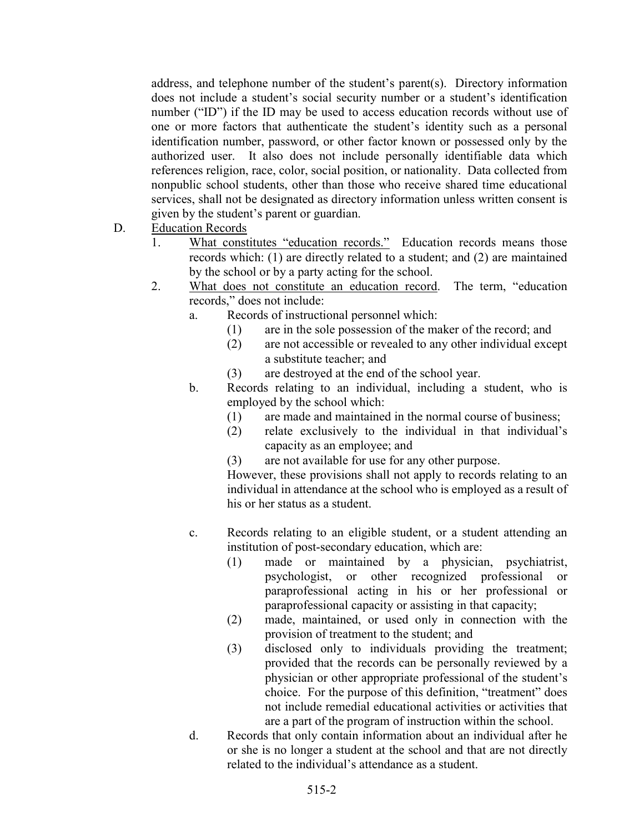address, and telephone number of the student's parent(s). Directory information does not include a student's social security number or a student's identification number ("ID") if the ID may be used to access education records without use of one or more factors that authenticate the student's identity such as a personal identification number, password, or other factor known or possessed only by the authorized user. It also does not include personally identifiable data which references religion, race, color, social position, or nationality. Data collected from nonpublic school students, other than those who receive shared time educational services, shall not be designated as directory information unless written consent is given by the student's parent or guardian.

- D. Education Records
	- 1. What constitutes "education records." Education records means those records which: (1) are directly related to a student; and (2) are maintained by the school or by a party acting for the school.
	- 2. What does not constitute an education record. The term, "education records," does not include:
		- a. Records of instructional personnel which:
			- (1) are in the sole possession of the maker of the record; and
			- (2) are not accessible or revealed to any other individual except a substitute teacher; and
			- (3) are destroyed at the end of the school year.
		- b. Records relating to an individual, including a student, who is employed by the school which:
			- (1) are made and maintained in the normal course of business;
			- (2) relate exclusively to the individual in that individual's capacity as an employee; and
			- (3) are not available for use for any other purpose.

However, these provisions shall not apply to records relating to an individual in attendance at the school who is employed as a result of his or her status as a student.

- c. Records relating to an eligible student, or a student attending an institution of post-secondary education, which are:
	- (1) made or maintained by a physician, psychiatrist, psychologist, or other recognized professional or paraprofessional acting in his or her professional or paraprofessional capacity or assisting in that capacity;
	- (2) made, maintained, or used only in connection with the provision of treatment to the student; and
	- (3) disclosed only to individuals providing the treatment; provided that the records can be personally reviewed by a physician or other appropriate professional of the student's choice. For the purpose of this definition, "treatment" does not include remedial educational activities or activities that are a part of the program of instruction within the school.
- d. Records that only contain information about an individual after he or she is no longer a student at the school and that are not directly related to the individual's attendance as a student.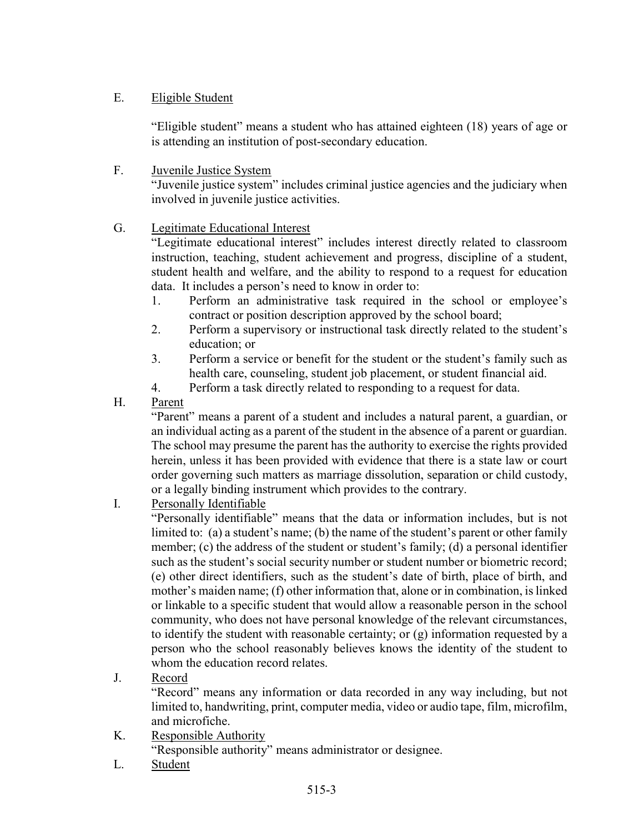### E. Eligible Student

"Eligible student" means a student who has attained eighteen (18) years of age or is attending an institution of post-secondary education.

F. Juvenile Justice System "Juvenile justice system" includes criminal justice agencies and the judiciary when involved in juvenile justice activities.

### G. Legitimate Educational Interest

"Legitimate educational interest" includes interest directly related to classroom instruction, teaching, student achievement and progress, discipline of a student, student health and welfare, and the ability to respond to a request for education data. It includes a person's need to know in order to:

- 1. Perform an administrative task required in the school or employee's contract or position description approved by the school board;
- 2. Perform a supervisory or instructional task directly related to the student's education; or
- 3. Perform a service or benefit for the student or the student's family such as health care, counseling, student job placement, or student financial aid.
- 4. Perform a task directly related to responding to a request for data.
- H. Parent

"Parent" means a parent of a student and includes a natural parent, a guardian, or an individual acting as a parent of the student in the absence of a parent or guardian. The school may presume the parent has the authority to exercise the rights provided herein, unless it has been provided with evidence that there is a state law or court order governing such matters as marriage dissolution, separation or child custody, or a legally binding instrument which provides to the contrary.

I. Personally Identifiable

"Personally identifiable" means that the data or information includes, but is not limited to: (a) a student's name; (b) the name of the student's parent or other family member; (c) the address of the student or student's family; (d) a personal identifier such as the student's social security number or student number or biometric record; (e) other direct identifiers, such as the student's date of birth, place of birth, and mother's maiden name; (f) other information that, alone or in combination, is linked or linkable to a specific student that would allow a reasonable person in the school community, who does not have personal knowledge of the relevant circumstances, to identify the student with reasonable certainty; or (g) information requested by a person who the school reasonably believes knows the identity of the student to whom the education record relates.

J. Record

"Record" means any information or data recorded in any way including, but not limited to, handwriting, print, computer media, video or audio tape, film, microfilm, and microfiche.

K. Responsible Authority

"Responsible authority" means administrator or designee.

L. Student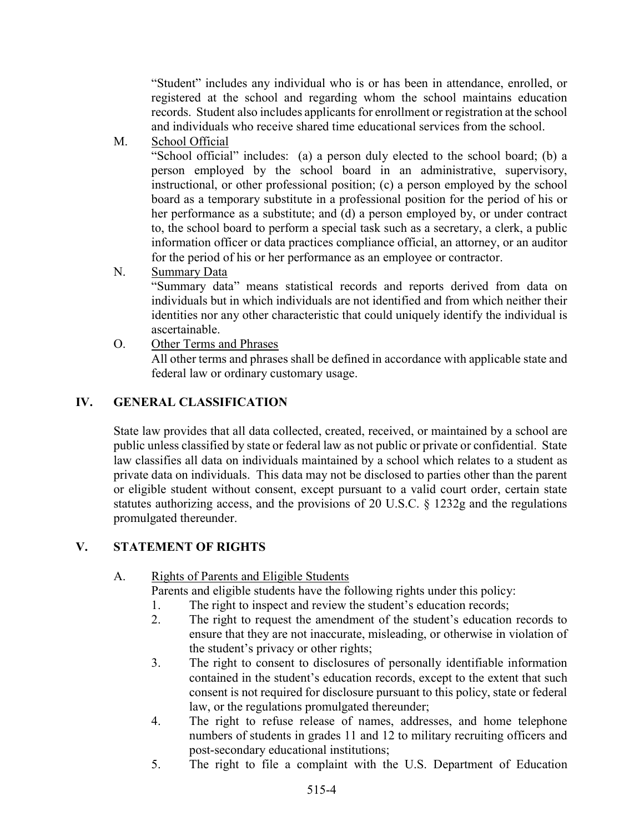"Student" includes any individual who is or has been in attendance, enrolled, or registered at the school and regarding whom the school maintains education records. Student also includes applicants for enrollment or registration at the school and individuals who receive shared time educational services from the school.

M. School Official

"School official" includes: (a) a person duly elected to the school board; (b) a person employed by the school board in an administrative, supervisory, instructional, or other professional position; (c) a person employed by the school board as a temporary substitute in a professional position for the period of his or her performance as a substitute; and (d) a person employed by, or under contract to, the school board to perform a special task such as a secretary, a clerk, a public information officer or data practices compliance official, an attorney, or an auditor for the period of his or her performance as an employee or contractor.

N. Summary Data

"Summary data" means statistical records and reports derived from data on individuals but in which individuals are not identified and from which neither their identities nor any other characteristic that could uniquely identify the individual is ascertainable.

O. Other Terms and Phrases All other terms and phrases shall be defined in accordance with applicable state and federal law or ordinary customary usage.

### IV. GENERAL CLASSIFICATION

State law provides that all data collected, created, received, or maintained by a school are public unless classified by state or federal law as not public or private or confidential. State law classifies all data on individuals maintained by a school which relates to a student as private data on individuals. This data may not be disclosed to parties other than the parent or eligible student without consent, except pursuant to a valid court order, certain state statutes authorizing access, and the provisions of 20 U.S.C. § 1232g and the regulations promulgated thereunder.

### V. STATEMENT OF RIGHTS

A. Rights of Parents and Eligible Students

Parents and eligible students have the following rights under this policy:

- 1. The right to inspect and review the student's education records;
- 2. The right to request the amendment of the student's education records to ensure that they are not inaccurate, misleading, or otherwise in violation of the student's privacy or other rights;
- 3. The right to consent to disclosures of personally identifiable information contained in the student's education records, except to the extent that such consent is not required for disclosure pursuant to this policy, state or federal law, or the regulations promulgated thereunder;
- 4. The right to refuse release of names, addresses, and home telephone numbers of students in grades 11 and 12 to military recruiting officers and post-secondary educational institutions;
- 5. The right to file a complaint with the U.S. Department of Education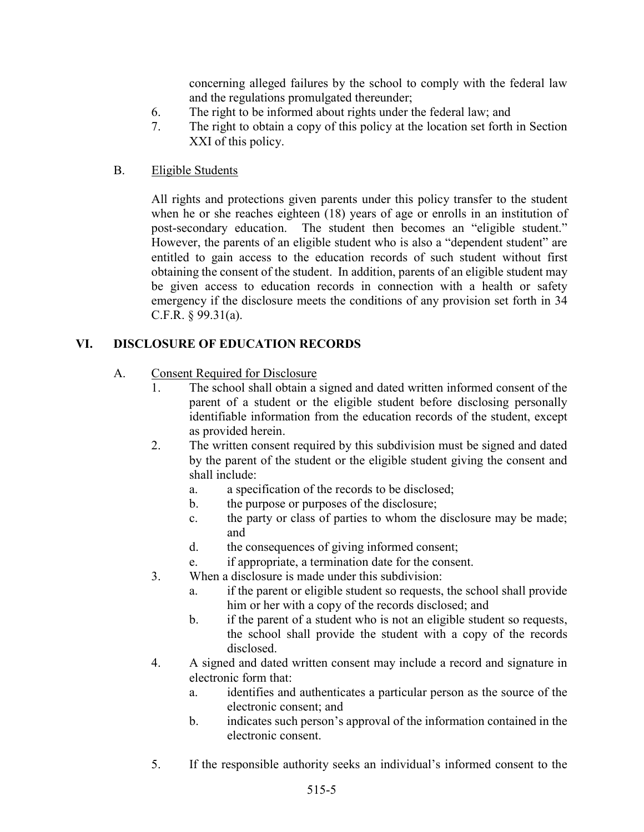concerning alleged failures by the school to comply with the federal law and the regulations promulgated thereunder;

- 6. The right to be informed about rights under the federal law; and
- 7. The right to obtain a copy of this policy at the location set forth in Section XXI of this policy.

### B. Eligible Students

All rights and protections given parents under this policy transfer to the student when he or she reaches eighteen (18) years of age or enrolls in an institution of post-secondary education. The student then becomes an "eligible student." However, the parents of an eligible student who is also a "dependent student" are entitled to gain access to the education records of such student without first obtaining the consent of the student. In addition, parents of an eligible student may be given access to education records in connection with a health or safety emergency if the disclosure meets the conditions of any provision set forth in 34 C.F.R. § 99.31(a).

# VI. DISCLOSURE OF EDUCATION RECORDS

### A. Consent Required for Disclosure

- 1. The school shall obtain a signed and dated written informed consent of the parent of a student or the eligible student before disclosing personally identifiable information from the education records of the student, except as provided herein.
- 2. The written consent required by this subdivision must be signed and dated by the parent of the student or the eligible student giving the consent and shall include:
	- a. a specification of the records to be disclosed;
	- b. the purpose or purposes of the disclosure;
	- c. the party or class of parties to whom the disclosure may be made; and
	- d. the consequences of giving informed consent;
	- e. if appropriate, a termination date for the consent.
- 3. When a disclosure is made under this subdivision:
	- a. if the parent or eligible student so requests, the school shall provide him or her with a copy of the records disclosed; and
	- b. if the parent of a student who is not an eligible student so requests, the school shall provide the student with a copy of the records disclosed.
- 4. A signed and dated written consent may include a record and signature in electronic form that:
	- a. identifies and authenticates a particular person as the source of the electronic consent; and
	- b. indicates such person's approval of the information contained in the electronic consent.
- 5. If the responsible authority seeks an individual's informed consent to the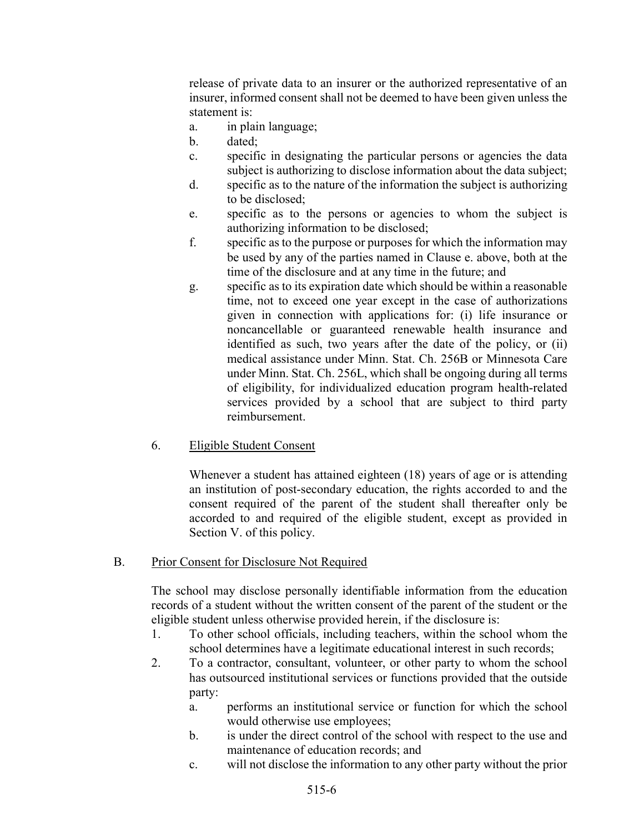release of private data to an insurer or the authorized representative of an insurer, informed consent shall not be deemed to have been given unless the statement is:

- a. in plain language;
- b. dated;
- c. specific in designating the particular persons or agencies the data subject is authorizing to disclose information about the data subject;
- d. specific as to the nature of the information the subject is authorizing to be disclosed;
- e. specific as to the persons or agencies to whom the subject is authorizing information to be disclosed;
- f. specific as to the purpose or purposes for which the information may be used by any of the parties named in Clause e. above, both at the time of the disclosure and at any time in the future; and
- g. specific as to its expiration date which should be within a reasonable time, not to exceed one year except in the case of authorizations given in connection with applications for: (i) life insurance or noncancellable or guaranteed renewable health insurance and identified as such, two years after the date of the policy, or (ii) medical assistance under Minn. Stat. Ch. 256B or Minnesota Care under Minn. Stat. Ch. 256L, which shall be ongoing during all terms of eligibility, for individualized education program health-related services provided by a school that are subject to third party reimbursement.
- 6. Eligible Student Consent

Whenever a student has attained eighteen (18) years of age or is attending an institution of post-secondary education, the rights accorded to and the consent required of the parent of the student shall thereafter only be accorded to and required of the eligible student, except as provided in Section V. of this policy.

#### B. Prior Consent for Disclosure Not Required

The school may disclose personally identifiable information from the education records of a student without the written consent of the parent of the student or the eligible student unless otherwise provided herein, if the disclosure is:

- 1. To other school officials, including teachers, within the school whom the school determines have a legitimate educational interest in such records;
- 2. To a contractor, consultant, volunteer, or other party to whom the school has outsourced institutional services or functions provided that the outside party:
	- a. performs an institutional service or function for which the school would otherwise use employees;
	- b. is under the direct control of the school with respect to the use and maintenance of education records; and
	- c. will not disclose the information to any other party without the prior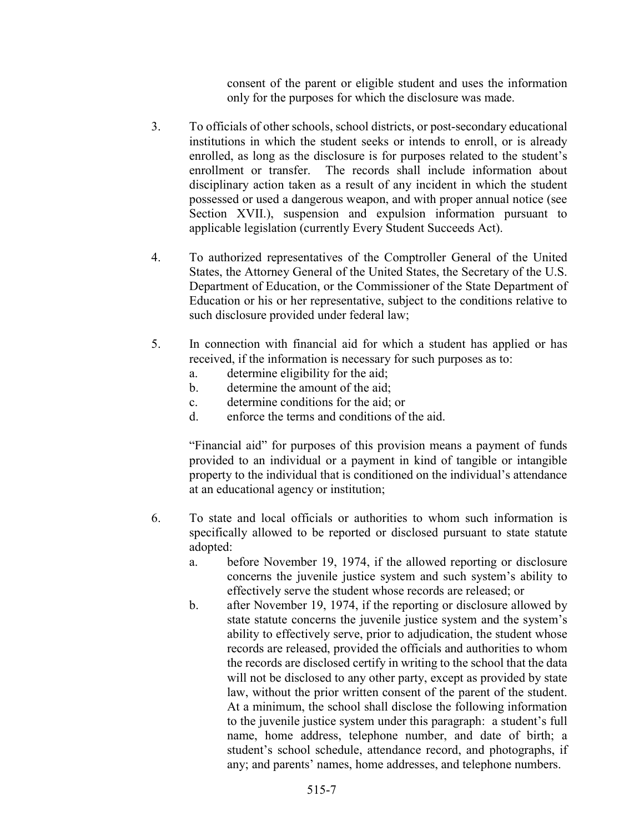consent of the parent or eligible student and uses the information only for the purposes for which the disclosure was made.

- 3. To officials of other schools, school districts, or post-secondary educational institutions in which the student seeks or intends to enroll, or is already enrolled, as long as the disclosure is for purposes related to the student's enrollment or transfer. The records shall include information about disciplinary action taken as a result of any incident in which the student possessed or used a dangerous weapon, and with proper annual notice (see Section XVII.), suspension and expulsion information pursuant to applicable legislation (currently Every Student Succeeds Act).
- 4. To authorized representatives of the Comptroller General of the United States, the Attorney General of the United States, the Secretary of the U.S. Department of Education, or the Commissioner of the State Department of Education or his or her representative, subject to the conditions relative to such disclosure provided under federal law;
- 5. In connection with financial aid for which a student has applied or has received, if the information is necessary for such purposes as to:
	- a. determine eligibility for the aid;
	- b. determine the amount of the aid;
	- c. determine conditions for the aid; or
	- d. enforce the terms and conditions of the aid.

"Financial aid" for purposes of this provision means a payment of funds provided to an individual or a payment in kind of tangible or intangible property to the individual that is conditioned on the individual's attendance at an educational agency or institution;

- 6. To state and local officials or authorities to whom such information is specifically allowed to be reported or disclosed pursuant to state statute adopted:
	- a. before November 19, 1974, if the allowed reporting or disclosure concerns the juvenile justice system and such system's ability to effectively serve the student whose records are released; or
	- b. after November 19, 1974, if the reporting or disclosure allowed by state statute concerns the juvenile justice system and the system's ability to effectively serve, prior to adjudication, the student whose records are released, provided the officials and authorities to whom the records are disclosed certify in writing to the school that the data will not be disclosed to any other party, except as provided by state law, without the prior written consent of the parent of the student. At a minimum, the school shall disclose the following information to the juvenile justice system under this paragraph: a student's full name, home address, telephone number, and date of birth; a student's school schedule, attendance record, and photographs, if any; and parents' names, home addresses, and telephone numbers.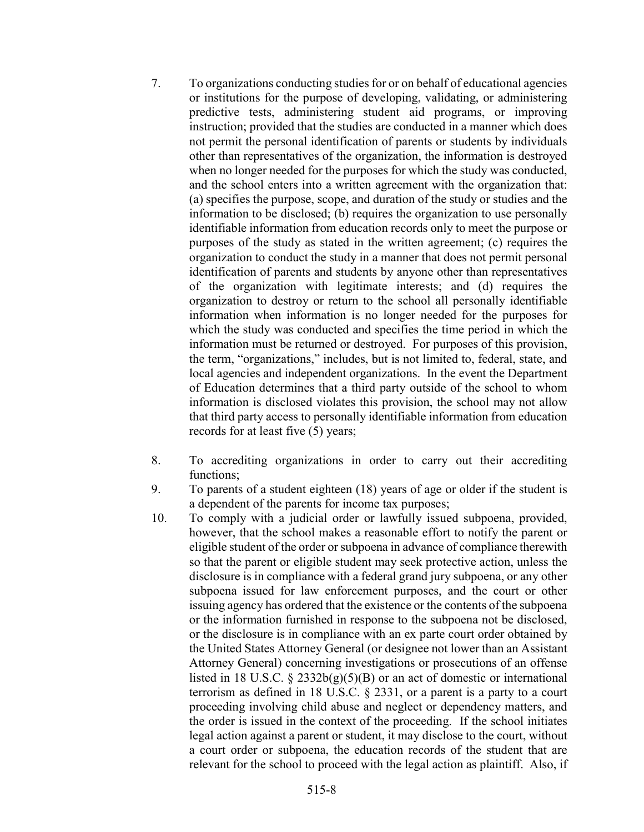- 7. To organizations conducting studies for or on behalf of educational agencies or institutions for the purpose of developing, validating, or administering predictive tests, administering student aid programs, or improving instruction; provided that the studies are conducted in a manner which does not permit the personal identification of parents or students by individuals other than representatives of the organization, the information is destroyed when no longer needed for the purposes for which the study was conducted, and the school enters into a written agreement with the organization that: (a) specifies the purpose, scope, and duration of the study or studies and the information to be disclosed; (b) requires the organization to use personally identifiable information from education records only to meet the purpose or purposes of the study as stated in the written agreement; (c) requires the organization to conduct the study in a manner that does not permit personal identification of parents and students by anyone other than representatives of the organization with legitimate interests; and (d) requires the organization to destroy or return to the school all personally identifiable information when information is no longer needed for the purposes for which the study was conducted and specifies the time period in which the information must be returned or destroyed. For purposes of this provision, the term, "organizations," includes, but is not limited to, federal, state, and local agencies and independent organizations. In the event the Department of Education determines that a third party outside of the school to whom information is disclosed violates this provision, the school may not allow that third party access to personally identifiable information from education records for at least five (5) years;
- 8. To accrediting organizations in order to carry out their accrediting functions;
- 9. To parents of a student eighteen (18) years of age or older if the student is a dependent of the parents for income tax purposes;
- 10. To comply with a judicial order or lawfully issued subpoena, provided, however, that the school makes a reasonable effort to notify the parent or eligible student of the order or subpoena in advance of compliance therewith so that the parent or eligible student may seek protective action, unless the disclosure is in compliance with a federal grand jury subpoena, or any other subpoena issued for law enforcement purposes, and the court or other issuing agency has ordered that the existence or the contents of the subpoena or the information furnished in response to the subpoena not be disclosed, or the disclosure is in compliance with an ex parte court order obtained by the United States Attorney General (or designee not lower than an Assistant Attorney General) concerning investigations or prosecutions of an offense listed in 18 U.S.C.  $\S$  2332b(g)(5)(B) or an act of domestic or international terrorism as defined in 18 U.S.C. § 2331, or a parent is a party to a court proceeding involving child abuse and neglect or dependency matters, and the order is issued in the context of the proceeding. If the school initiates legal action against a parent or student, it may disclose to the court, without a court order or subpoena, the education records of the student that are relevant for the school to proceed with the legal action as plaintiff. Also, if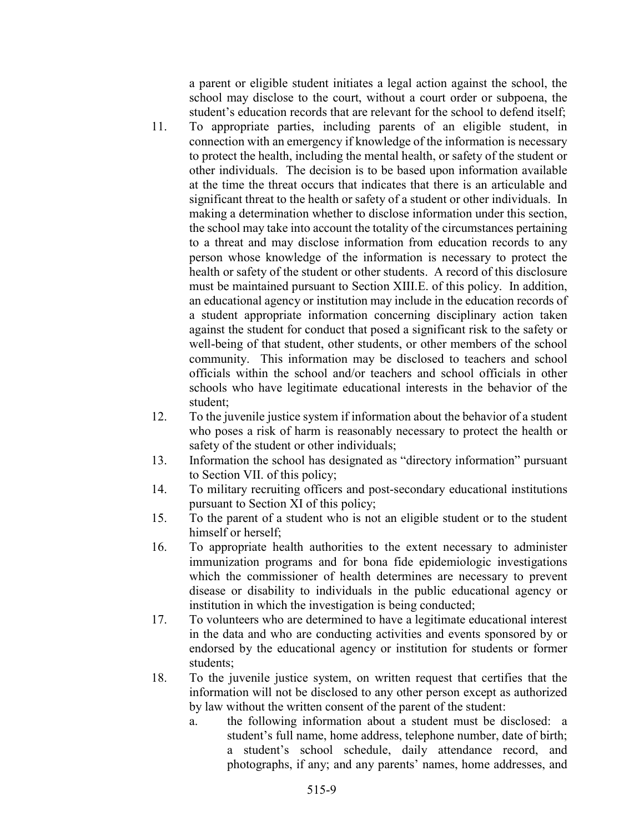a parent or eligible student initiates a legal action against the school, the school may disclose to the court, without a court order or subpoena, the student's education records that are relevant for the school to defend itself;

- 11. To appropriate parties, including parents of an eligible student, in connection with an emergency if knowledge of the information is necessary to protect the health, including the mental health, or safety of the student or other individuals. The decision is to be based upon information available at the time the threat occurs that indicates that there is an articulable and significant threat to the health or safety of a student or other individuals. In making a determination whether to disclose information under this section, the school may take into account the totality of the circumstances pertaining to a threat and may disclose information from education records to any person whose knowledge of the information is necessary to protect the health or safety of the student or other students. A record of this disclosure must be maintained pursuant to Section XIII.E. of this policy. In addition, an educational agency or institution may include in the education records of a student appropriate information concerning disciplinary action taken against the student for conduct that posed a significant risk to the safety or well-being of that student, other students, or other members of the school community. This information may be disclosed to teachers and school officials within the school and/or teachers and school officials in other schools who have legitimate educational interests in the behavior of the student;
- 12. To the juvenile justice system if information about the behavior of a student who poses a risk of harm is reasonably necessary to protect the health or safety of the student or other individuals;
- 13. Information the school has designated as "directory information" pursuant to Section VII. of this policy;
- 14. To military recruiting officers and post-secondary educational institutions pursuant to Section XI of this policy;
- 15. To the parent of a student who is not an eligible student or to the student himself or herself;
- 16. To appropriate health authorities to the extent necessary to administer immunization programs and for bona fide epidemiologic investigations which the commissioner of health determines are necessary to prevent disease or disability to individuals in the public educational agency or institution in which the investigation is being conducted;
- 17. To volunteers who are determined to have a legitimate educational interest in the data and who are conducting activities and events sponsored by or endorsed by the educational agency or institution for students or former students;
- 18. To the juvenile justice system, on written request that certifies that the information will not be disclosed to any other person except as authorized by law without the written consent of the parent of the student:
	- a. the following information about a student must be disclosed: a student's full name, home address, telephone number, date of birth; a student's school schedule, daily attendance record, and photographs, if any; and any parents' names, home addresses, and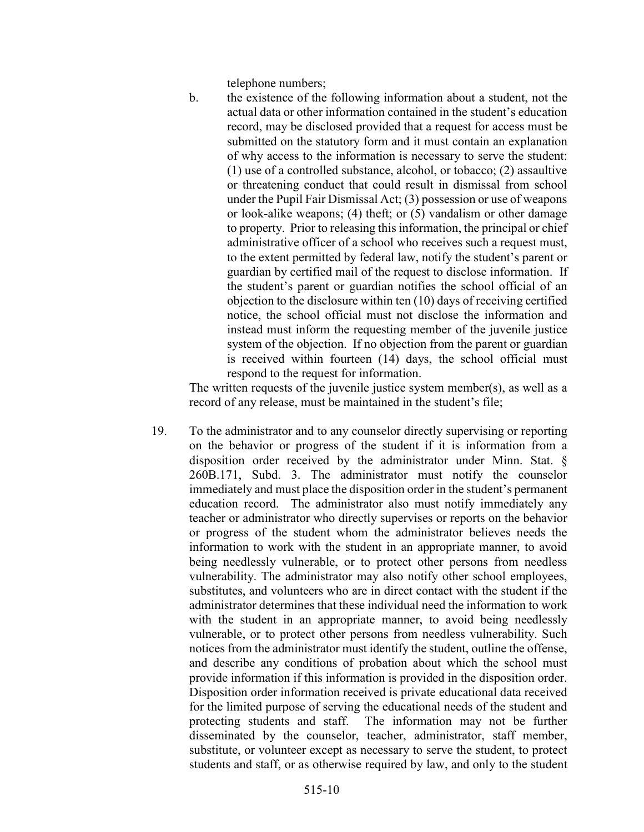telephone numbers;

b. the existence of the following information about a student, not the actual data or other information contained in the student's education record, may be disclosed provided that a request for access must be submitted on the statutory form and it must contain an explanation of why access to the information is necessary to serve the student: (1) use of a controlled substance, alcohol, or tobacco; (2) assaultive or threatening conduct that could result in dismissal from school under the Pupil Fair Dismissal Act; (3) possession or use of weapons or look-alike weapons; (4) theft; or (5) vandalism or other damage to property. Prior to releasing this information, the principal or chief administrative officer of a school who receives such a request must, to the extent permitted by federal law, notify the student's parent or guardian by certified mail of the request to disclose information. If the student's parent or guardian notifies the school official of an objection to the disclosure within ten (10) days of receiving certified notice, the school official must not disclose the information and instead must inform the requesting member of the juvenile justice system of the objection. If no objection from the parent or guardian is received within fourteen (14) days, the school official must respond to the request for information.

The written requests of the juvenile justice system member(s), as well as a record of any release, must be maintained in the student's file;

19. To the administrator and to any counselor directly supervising or reporting on the behavior or progress of the student if it is information from a disposition order received by the administrator under Minn. Stat. § 260B.171, Subd. 3. The administrator must notify the counselor immediately and must place the disposition order in the student's permanent education record. The administrator also must notify immediately any teacher or administrator who directly supervises or reports on the behavior or progress of the student whom the administrator believes needs the information to work with the student in an appropriate manner, to avoid being needlessly vulnerable, or to protect other persons from needless vulnerability. The administrator may also notify other school employees, substitutes, and volunteers who are in direct contact with the student if the administrator determines that these individual need the information to work with the student in an appropriate manner, to avoid being needlessly vulnerable, or to protect other persons from needless vulnerability. Such notices from the administrator must identify the student, outline the offense, and describe any conditions of probation about which the school must provide information if this information is provided in the disposition order. Disposition order information received is private educational data received for the limited purpose of serving the educational needs of the student and protecting students and staff. The information may not be further disseminated by the counselor, teacher, administrator, staff member, substitute, or volunteer except as necessary to serve the student, to protect students and staff, or as otherwise required by law, and only to the student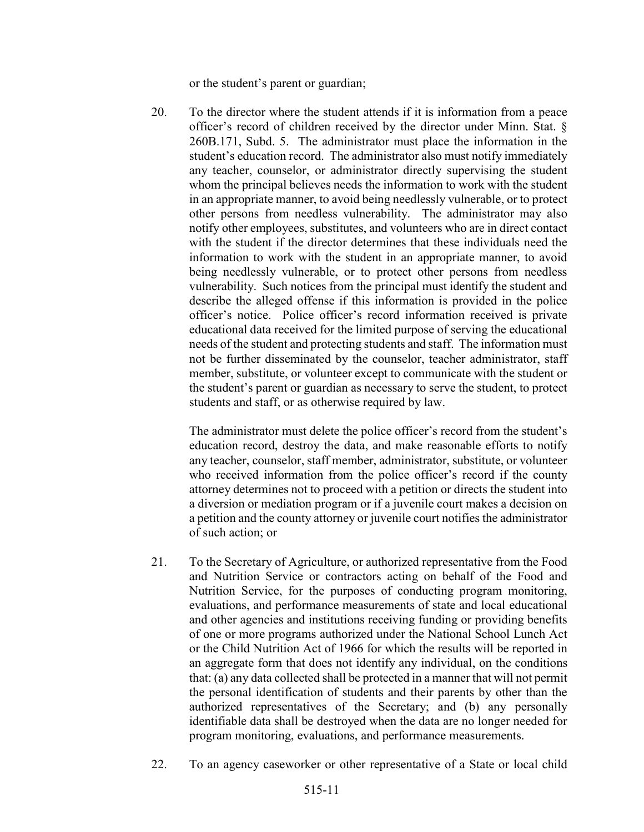or the student's parent or guardian;

20. To the director where the student attends if it is information from a peace officer's record of children received by the director under Minn. Stat. § 260B.171, Subd. 5. The administrator must place the information in the student's education record. The administrator also must notify immediately any teacher, counselor, or administrator directly supervising the student whom the principal believes needs the information to work with the student in an appropriate manner, to avoid being needlessly vulnerable, or to protect other persons from needless vulnerability. The administrator may also notify other employees, substitutes, and volunteers who are in direct contact with the student if the director determines that these individuals need the information to work with the student in an appropriate manner, to avoid being needlessly vulnerable, or to protect other persons from needless vulnerability. Such notices from the principal must identify the student and describe the alleged offense if this information is provided in the police officer's notice. Police officer's record information received is private educational data received for the limited purpose of serving the educational needs of the student and protecting students and staff. The information must not be further disseminated by the counselor, teacher administrator, staff member, substitute, or volunteer except to communicate with the student or the student's parent or guardian as necessary to serve the student, to protect students and staff, or as otherwise required by law.

The administrator must delete the police officer's record from the student's education record, destroy the data, and make reasonable efforts to notify any teacher, counselor, staff member, administrator, substitute, or volunteer who received information from the police officer's record if the county attorney determines not to proceed with a petition or directs the student into a diversion or mediation program or if a juvenile court makes a decision on a petition and the county attorney or juvenile court notifies the administrator of such action; or

- 21. To the Secretary of Agriculture, or authorized representative from the Food and Nutrition Service or contractors acting on behalf of the Food and Nutrition Service, for the purposes of conducting program monitoring, evaluations, and performance measurements of state and local educational and other agencies and institutions receiving funding or providing benefits of one or more programs authorized under the National School Lunch Act or the Child Nutrition Act of 1966 for which the results will be reported in an aggregate form that does not identify any individual, on the conditions that: (a) any data collected shall be protected in a manner that will not permit the personal identification of students and their parents by other than the authorized representatives of the Secretary; and (b) any personally identifiable data shall be destroyed when the data are no longer needed for program monitoring, evaluations, and performance measurements.
- 22. To an agency caseworker or other representative of a State or local child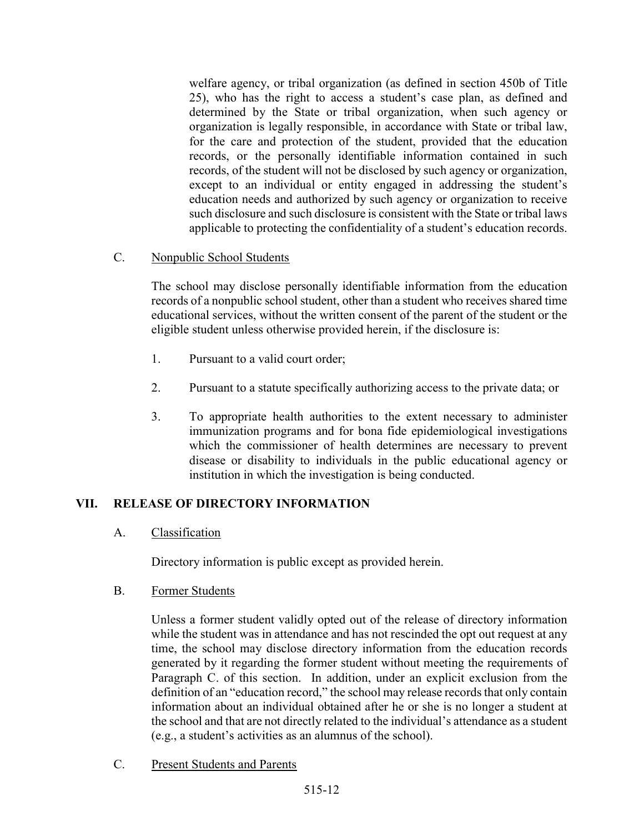welfare agency, or tribal organization (as defined in section 450b of Title 25), who has the right to access a student's case plan, as defined and determined by the State or tribal organization, when such agency or organization is legally responsible, in accordance with State or tribal law, for the care and protection of the student, provided that the education records, or the personally identifiable information contained in such records, of the student will not be disclosed by such agency or organization, except to an individual or entity engaged in addressing the student's education needs and authorized by such agency or organization to receive such disclosure and such disclosure is consistent with the State or tribal laws applicable to protecting the confidentiality of a student's education records.

#### C. Nonpublic School Students

The school may disclose personally identifiable information from the education records of a nonpublic school student, other than a student who receives shared time educational services, without the written consent of the parent of the student or the eligible student unless otherwise provided herein, if the disclosure is:

- 1. Pursuant to a valid court order;
- 2. Pursuant to a statute specifically authorizing access to the private data; or
- 3. To appropriate health authorities to the extent necessary to administer immunization programs and for bona fide epidemiological investigations which the commissioner of health determines are necessary to prevent disease or disability to individuals in the public educational agency or institution in which the investigation is being conducted.

#### VII. RELEASE OF DIRECTORY INFORMATION

#### A. Classification

Directory information is public except as provided herein.

B. Former Students

Unless a former student validly opted out of the release of directory information while the student was in attendance and has not rescinded the opt out request at any time, the school may disclose directory information from the education records generated by it regarding the former student without meeting the requirements of Paragraph C. of this section. In addition, under an explicit exclusion from the definition of an "education record," the school may release records that only contain information about an individual obtained after he or she is no longer a student at the school and that are not directly related to the individual's attendance as a student (e.g., a student's activities as an alumnus of the school).

C. Present Students and Parents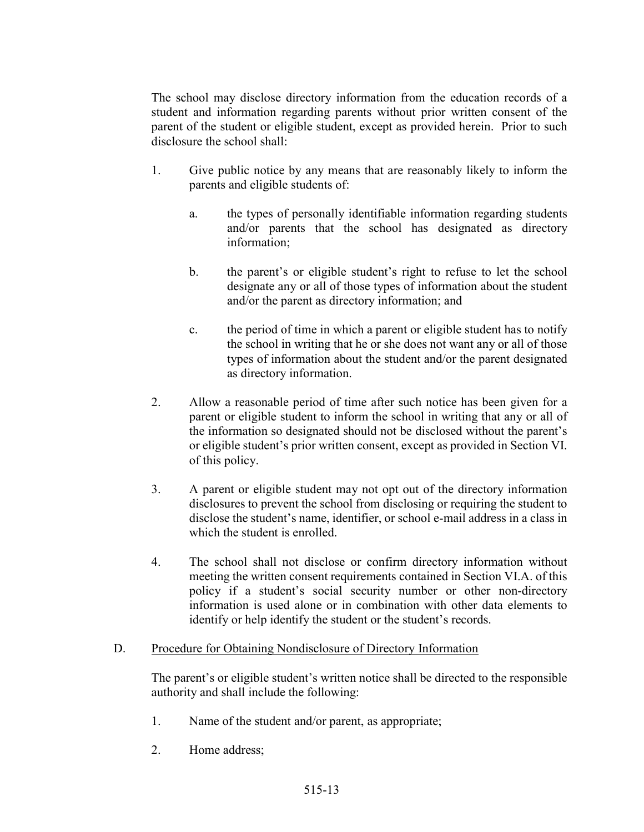The school may disclose directory information from the education records of a student and information regarding parents without prior written consent of the parent of the student or eligible student, except as provided herein. Prior to such disclosure the school shall:

- 1. Give public notice by any means that are reasonably likely to inform the parents and eligible students of:
	- a. the types of personally identifiable information regarding students and/or parents that the school has designated as directory information;
	- b. the parent's or eligible student's right to refuse to let the school designate any or all of those types of information about the student and/or the parent as directory information; and
	- c. the period of time in which a parent or eligible student has to notify the school in writing that he or she does not want any or all of those types of information about the student and/or the parent designated as directory information.
- 2. Allow a reasonable period of time after such notice has been given for a parent or eligible student to inform the school in writing that any or all of the information so designated should not be disclosed without the parent's or eligible student's prior written consent, except as provided in Section VI. of this policy.
- 3. A parent or eligible student may not opt out of the directory information disclosures to prevent the school from disclosing or requiring the student to disclose the student's name, identifier, or school e-mail address in a class in which the student is enrolled.
- 4. The school shall not disclose or confirm directory information without meeting the written consent requirements contained in Section VI.A. of this policy if a student's social security number or other non-directory information is used alone or in combination with other data elements to identify or help identify the student or the student's records.

### D. Procedure for Obtaining Nondisclosure of Directory Information

The parent's or eligible student's written notice shall be directed to the responsible authority and shall include the following:

- 1. Name of the student and/or parent, as appropriate;
- 2. Home address;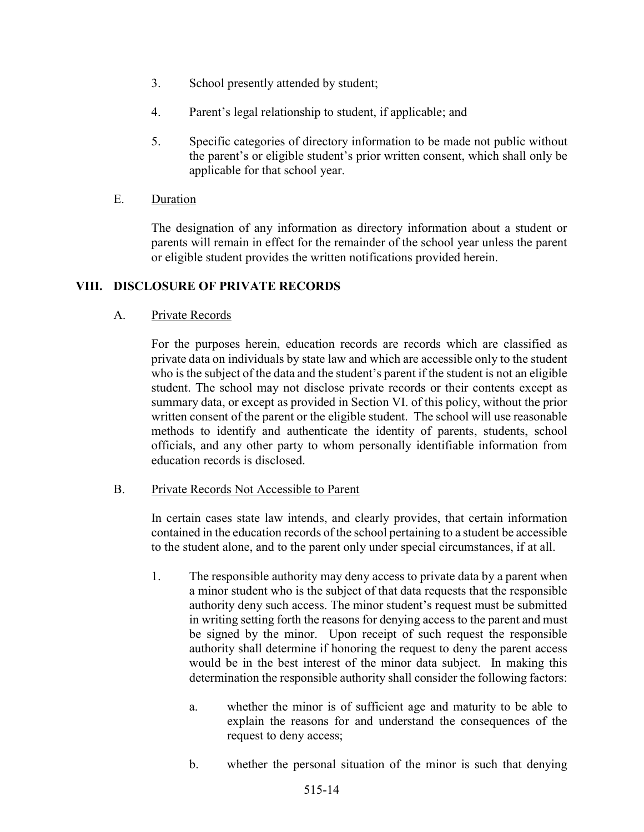- 3. School presently attended by student;
- 4. Parent's legal relationship to student, if applicable; and
- 5. Specific categories of directory information to be made not public without the parent's or eligible student's prior written consent, which shall only be applicable for that school year.
- E. Duration

The designation of any information as directory information about a student or parents will remain in effect for the remainder of the school year unless the parent or eligible student provides the written notifications provided herein.

#### VIII. DISCLOSURE OF PRIVATE RECORDS

A. Private Records

For the purposes herein, education records are records which are classified as private data on individuals by state law and which are accessible only to the student who is the subject of the data and the student's parent if the student is not an eligible student. The school may not disclose private records or their contents except as summary data, or except as provided in Section VI. of this policy, without the prior written consent of the parent or the eligible student. The school will use reasonable methods to identify and authenticate the identity of parents, students, school officials, and any other party to whom personally identifiable information from education records is disclosed.

#### B. Private Records Not Accessible to Parent

In certain cases state law intends, and clearly provides, that certain information contained in the education records of the school pertaining to a student be accessible to the student alone, and to the parent only under special circumstances, if at all.

- 1. The responsible authority may deny access to private data by a parent when a minor student who is the subject of that data requests that the responsible authority deny such access. The minor student's request must be submitted in writing setting forth the reasons for denying access to the parent and must be signed by the minor. Upon receipt of such request the responsible authority shall determine if honoring the request to deny the parent access would be in the best interest of the minor data subject. In making this determination the responsible authority shall consider the following factors:
	- a. whether the minor is of sufficient age and maturity to be able to explain the reasons for and understand the consequences of the request to deny access;
	- b. whether the personal situation of the minor is such that denying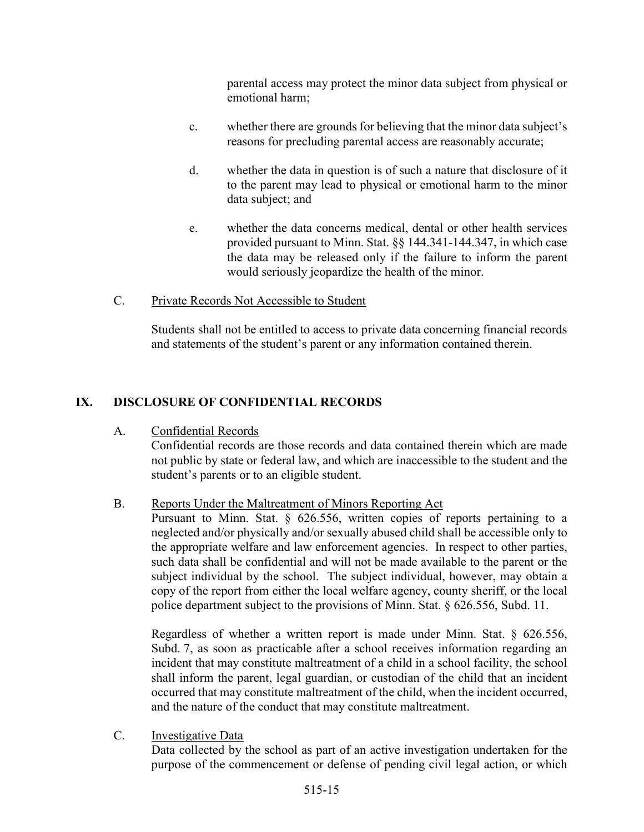parental access may protect the minor data subject from physical or emotional harm;

- c. whether there are grounds for believing that the minor data subject's reasons for precluding parental access are reasonably accurate;
- d. whether the data in question is of such a nature that disclosure of it to the parent may lead to physical or emotional harm to the minor data subject; and
- e. whether the data concerns medical, dental or other health services provided pursuant to Minn. Stat. §§ 144.341-144.347, in which case the data may be released only if the failure to inform the parent would seriously jeopardize the health of the minor.
- C. Private Records Not Accessible to Student

Students shall not be entitled to access to private data concerning financial records and statements of the student's parent or any information contained therein.

# IX. DISCLOSURE OF CONFIDENTIAL RECORDS

A. Confidential Records

Confidential records are those records and data contained therein which are made not public by state or federal law, and which are inaccessible to the student and the student's parents or to an eligible student.

### B. Reports Under the Maltreatment of Minors Reporting Act

Pursuant to Minn. Stat. § 626.556, written copies of reports pertaining to a neglected and/or physically and/or sexually abused child shall be accessible only to the appropriate welfare and law enforcement agencies. In respect to other parties, such data shall be confidential and will not be made available to the parent or the subject individual by the school. The subject individual, however, may obtain a copy of the report from either the local welfare agency, county sheriff, or the local police department subject to the provisions of Minn. Stat. § 626.556, Subd. 11.

Regardless of whether a written report is made under Minn. Stat. § 626.556, Subd. 7, as soon as practicable after a school receives information regarding an incident that may constitute maltreatment of a child in a school facility, the school shall inform the parent, legal guardian, or custodian of the child that an incident occurred that may constitute maltreatment of the child, when the incident occurred, and the nature of the conduct that may constitute maltreatment.

C. Investigative Data

Data collected by the school as part of an active investigation undertaken for the purpose of the commencement or defense of pending civil legal action, or which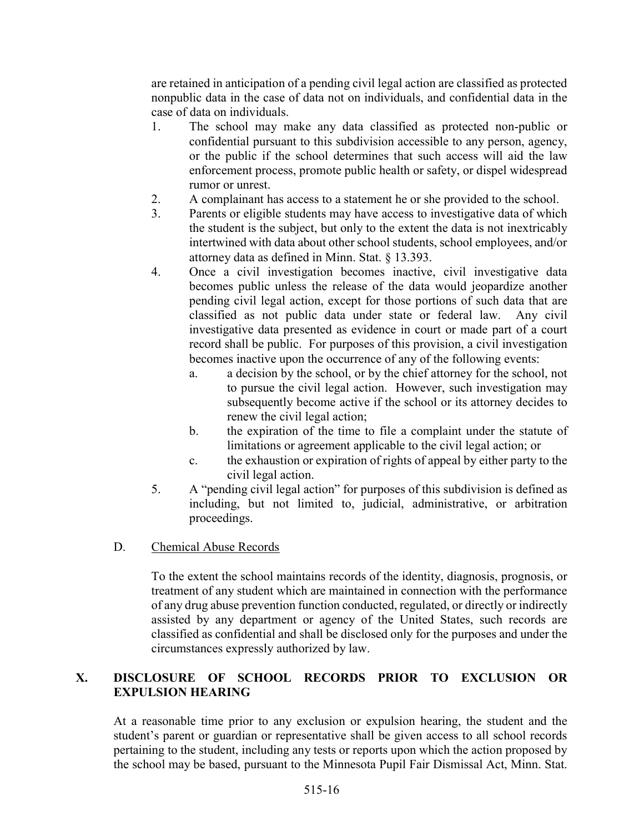are retained in anticipation of a pending civil legal action are classified as protected nonpublic data in the case of data not on individuals, and confidential data in the case of data on individuals.

- 1. The school may make any data classified as protected non-public or confidential pursuant to this subdivision accessible to any person, agency, or the public if the school determines that such access will aid the law enforcement process, promote public health or safety, or dispel widespread rumor or unrest.
- 2. A complainant has access to a statement he or she provided to the school.
- 3. Parents or eligible students may have access to investigative data of which the student is the subject, but only to the extent the data is not inextricably intertwined with data about other school students, school employees, and/or attorney data as defined in Minn. Stat. § 13.393.
- 4. Once a civil investigation becomes inactive, civil investigative data becomes public unless the release of the data would jeopardize another pending civil legal action, except for those portions of such data that are classified as not public data under state or federal law. Any civil investigative data presented as evidence in court or made part of a court record shall be public. For purposes of this provision, a civil investigation becomes inactive upon the occurrence of any of the following events:
	- a. a decision by the school, or by the chief attorney for the school, not to pursue the civil legal action. However, such investigation may subsequently become active if the school or its attorney decides to renew the civil legal action;
	- b. the expiration of the time to file a complaint under the statute of limitations or agreement applicable to the civil legal action; or
	- c. the exhaustion or expiration of rights of appeal by either party to the civil legal action.
- 5. A "pending civil legal action" for purposes of this subdivision is defined as including, but not limited to, judicial, administrative, or arbitration proceedings.
- D. Chemical Abuse Records

To the extent the school maintains records of the identity, diagnosis, prognosis, or treatment of any student which are maintained in connection with the performance of any drug abuse prevention function conducted, regulated, or directly or indirectly assisted by any department or agency of the United States, such records are classified as confidential and shall be disclosed only for the purposes and under the circumstances expressly authorized by law.

### X. DISCLOSURE OF SCHOOL RECORDS PRIOR TO EXCLUSION OR EXPULSION HEARING

At a reasonable time prior to any exclusion or expulsion hearing, the student and the student's parent or guardian or representative shall be given access to all school records pertaining to the student, including any tests or reports upon which the action proposed by the school may be based, pursuant to the Minnesota Pupil Fair Dismissal Act, Minn. Stat.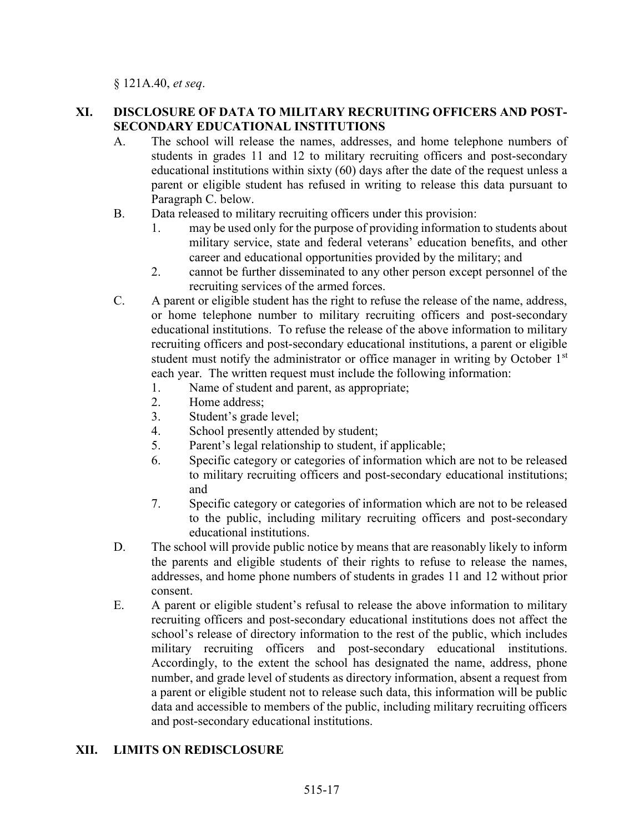§ 121A.40, et seq.

### XI. DISCLOSURE OF DATA TO MILITARY RECRUITING OFFICERS AND POST-SECONDARY EDUCATIONAL INSTITUTIONS

- A. The school will release the names, addresses, and home telephone numbers of students in grades 11 and 12 to military recruiting officers and post-secondary educational institutions within sixty (60) days after the date of the request unless a parent or eligible student has refused in writing to release this data pursuant to Paragraph C. below.
- B. Data released to military recruiting officers under this provision:
	- 1. may be used only for the purpose of providing information to students about military service, state and federal veterans' education benefits, and other career and educational opportunities provided by the military; and
	- 2. cannot be further disseminated to any other person except personnel of the recruiting services of the armed forces.
- C. A parent or eligible student has the right to refuse the release of the name, address, or home telephone number to military recruiting officers and post-secondary educational institutions. To refuse the release of the above information to military recruiting officers and post-secondary educational institutions, a parent or eligible student must notify the administrator or office manager in writing by October 1<sup>st</sup> each year. The written request must include the following information:
	- 1. Name of student and parent, as appropriate;
	- 2. Home address;
	- 3. Student's grade level;
	- 4. School presently attended by student;
	- 5. Parent's legal relationship to student, if applicable;
	- 6. Specific category or categories of information which are not to be released to military recruiting officers and post-secondary educational institutions; and
	- 7. Specific category or categories of information which are not to be released to the public, including military recruiting officers and post-secondary educational institutions.
- D. The school will provide public notice by means that are reasonably likely to inform the parents and eligible students of their rights to refuse to release the names, addresses, and home phone numbers of students in grades 11 and 12 without prior consent.
- E. A parent or eligible student's refusal to release the above information to military recruiting officers and post-secondary educational institutions does not affect the school's release of directory information to the rest of the public, which includes military recruiting officers and post-secondary educational institutions. Accordingly, to the extent the school has designated the name, address, phone number, and grade level of students as directory information, absent a request from a parent or eligible student not to release such data, this information will be public data and accessible to members of the public, including military recruiting officers and post-secondary educational institutions.

### XII. LIMITS ON REDISCLOSURE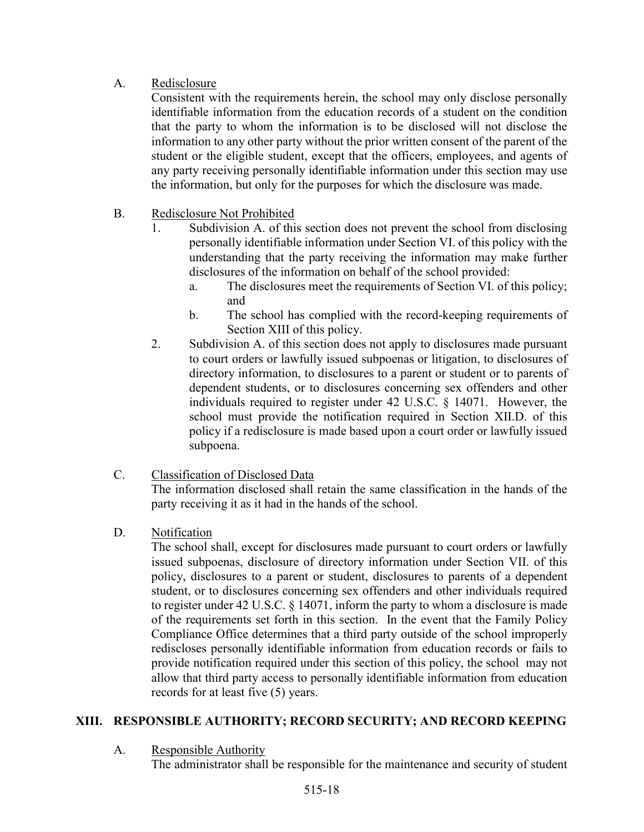# A. Redisclosure

Consistent with the requirements herein, the school may only disclose personally identifiable information from the education records of a student on the condition that the party to whom the information is to be disclosed will not disclose the information to any other party without the prior written consent of the parent of the student or the eligible student, except that the officers, employees, and agents of any party receiving personally identifiable information under this section may use the information, but only for the purposes for which the disclosure was made.

- B. Redisclosure Not Prohibited
	- 1. Subdivision A. of this section does not prevent the school from disclosing personally identifiable information under Section VI. of this policy with the understanding that the party receiving the information may make further disclosures of the information on behalf of the school provided:
		- a. The disclosures meet the requirements of Section VI. of this policy; and
		- b. The school has complied with the record-keeping requirements of Section XIII of this policy.
	- 2. Subdivision A. of this section does not apply to disclosures made pursuant to court orders or lawfully issued subpoenas or litigation, to disclosures of directory information, to disclosures to a parent or student or to parents of dependent students, or to disclosures concerning sex offenders and other individuals required to register under 42 U.S.C. § 14071. However, the school must provide the notification required in Section XII.D. of this policy if a redisclosure is made based upon a court order or lawfully issued subpoena.

# C. Classification of Disclosed Data

The information disclosed shall retain the same classification in the hands of the party receiving it as it had in the hands of the school.

### D. Notification

The school shall, except for disclosures made pursuant to court orders or lawfully issued subpoenas, disclosure of directory information under Section VII. of this policy, disclosures to a parent or student, disclosures to parents of a dependent student, or to disclosures concerning sex offenders and other individuals required to register under 42 U.S.C. § 14071, inform the party to whom a disclosure is made of the requirements set forth in this section. In the event that the Family Policy Compliance Office determines that a third party outside of the school improperly rediscloses personally identifiable information from education records or fails to provide notification required under this section of this policy, the school may not allow that third party access to personally identifiable information from education records for at least five (5) years.

# XIII. RESPONSIBLE AUTHORITY; RECORD SECURITY; AND RECORD KEEPING

### A. Responsible Authority

The administrator shall be responsible for the maintenance and security of student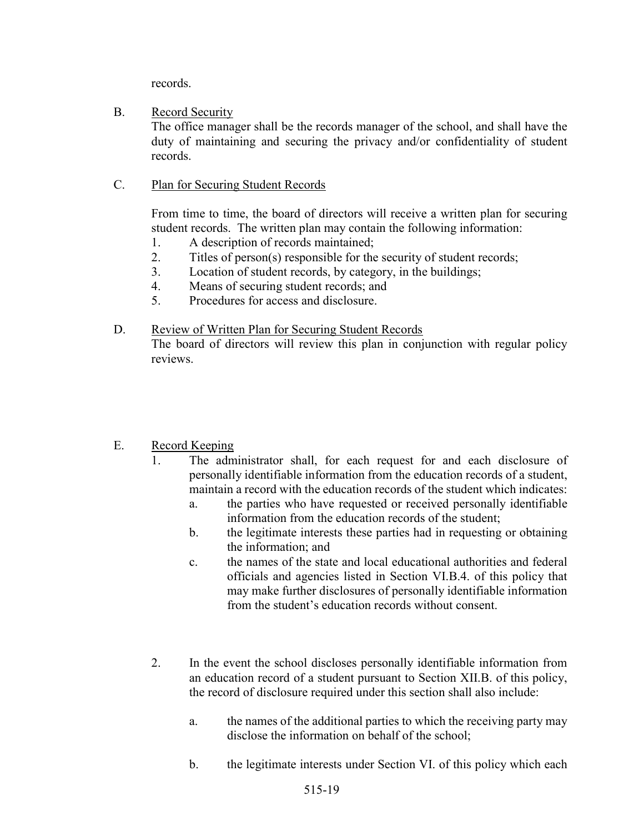records.

### B. Record Security

The office manager shall be the records manager of the school, and shall have the duty of maintaining and securing the privacy and/or confidentiality of student records.

C. Plan for Securing Student Records

From time to time, the board of directors will receive a written plan for securing student records. The written plan may contain the following information:

- 1. A description of records maintained;
- 2. Titles of person(s) responsible for the security of student records;
- 3. Location of student records, by category, in the buildings;
- 4. Means of securing student records; and
- 5. Procedures for access and disclosure.

### D. Review of Written Plan for Securing Student Records

The board of directors will review this plan in conjunction with regular policy reviews.

# E. Record Keeping

- 1. The administrator shall, for each request for and each disclosure of personally identifiable information from the education records of a student, maintain a record with the education records of the student which indicates:
	- a. the parties who have requested or received personally identifiable information from the education records of the student;
	- b. the legitimate interests these parties had in requesting or obtaining the information; and
	- c. the names of the state and local educational authorities and federal officials and agencies listed in Section VI.B.4. of this policy that may make further disclosures of personally identifiable information from the student's education records without consent.
- 2. In the event the school discloses personally identifiable information from an education record of a student pursuant to Section XII.B. of this policy, the record of disclosure required under this section shall also include:
	- a. the names of the additional parties to which the receiving party may disclose the information on behalf of the school;
	- b. the legitimate interests under Section VI. of this policy which each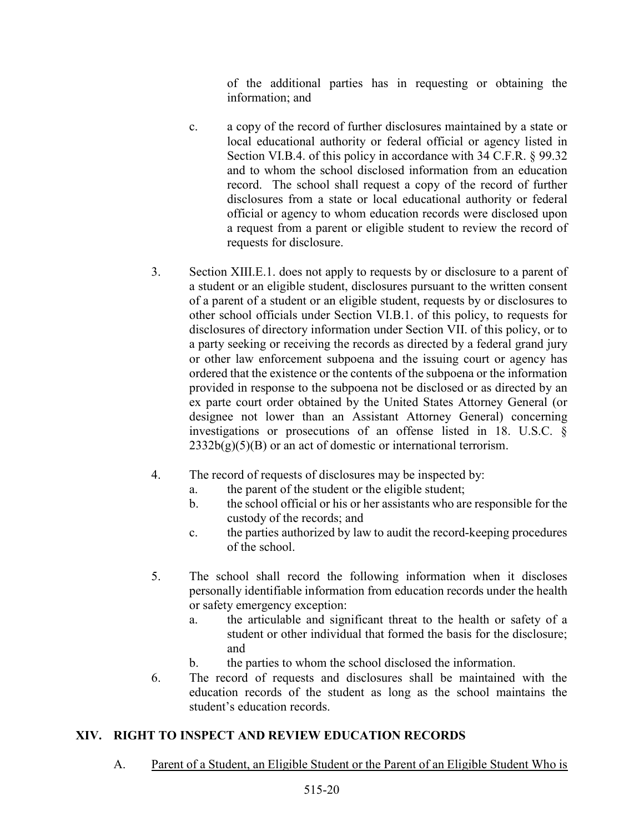of the additional parties has in requesting or obtaining the information; and

- c. a copy of the record of further disclosures maintained by a state or local educational authority or federal official or agency listed in Section VI.B.4. of this policy in accordance with 34 C.F.R. § 99.32 and to whom the school disclosed information from an education record. The school shall request a copy of the record of further disclosures from a state or local educational authority or federal official or agency to whom education records were disclosed upon a request from a parent or eligible student to review the record of requests for disclosure.
- 3. Section XIII.E.1. does not apply to requests by or disclosure to a parent of a student or an eligible student, disclosures pursuant to the written consent of a parent of a student or an eligible student, requests by or disclosures to other school officials under Section VI.B.1. of this policy, to requests for disclosures of directory information under Section VII. of this policy, or to a party seeking or receiving the records as directed by a federal grand jury or other law enforcement subpoena and the issuing court or agency has ordered that the existence or the contents of the subpoena or the information provided in response to the subpoena not be disclosed or as directed by an ex parte court order obtained by the United States Attorney General (or designee not lower than an Assistant Attorney General) concerning investigations or prosecutions of an offense listed in 18. U.S.C. §  $2332b(g)(5)(B)$  or an act of domestic or international terrorism.
- 4. The record of requests of disclosures may be inspected by:
	- a. the parent of the student or the eligible student;
	- b. the school official or his or her assistants who are responsible for the custody of the records; and
	- c. the parties authorized by law to audit the record-keeping procedures of the school.
- 5. The school shall record the following information when it discloses personally identifiable information from education records under the health or safety emergency exception:
	- a. the articulable and significant threat to the health or safety of a student or other individual that formed the basis for the disclosure; and
	- b. the parties to whom the school disclosed the information.
- 6. The record of requests and disclosures shall be maintained with the education records of the student as long as the school maintains the student's education records.

# XIV. RIGHT TO INSPECT AND REVIEW EDUCATION RECORDS

A. Parent of a Student, an Eligible Student or the Parent of an Eligible Student Who is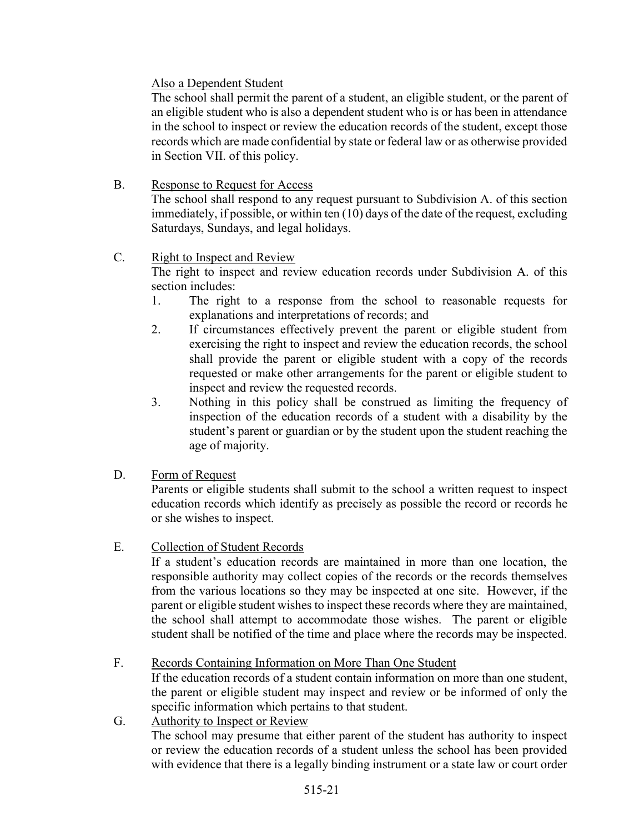### Also a Dependent Student

The school shall permit the parent of a student, an eligible student, or the parent of an eligible student who is also a dependent student who is or has been in attendance in the school to inspect or review the education records of the student, except those records which are made confidential by state or federal law or as otherwise provided in Section VII. of this policy.

### B. Response to Request for Access

The school shall respond to any request pursuant to Subdivision A. of this section immediately, if possible, or within ten (10) days of the date of the request, excluding Saturdays, Sundays, and legal holidays.

### C. Right to Inspect and Review

The right to inspect and review education records under Subdivision A. of this section includes:

- 1. The right to a response from the school to reasonable requests for explanations and interpretations of records; and
- 2. If circumstances effectively prevent the parent or eligible student from exercising the right to inspect and review the education records, the school shall provide the parent or eligible student with a copy of the records requested or make other arrangements for the parent or eligible student to inspect and review the requested records.
- 3. Nothing in this policy shall be construed as limiting the frequency of inspection of the education records of a student with a disability by the student's parent or guardian or by the student upon the student reaching the age of majority.
- D. Form of Request

Parents or eligible students shall submit to the school a written request to inspect education records which identify as precisely as possible the record or records he or she wishes to inspect.

### E. Collection of Student Records

If a student's education records are maintained in more than one location, the responsible authority may collect copies of the records or the records themselves from the various locations so they may be inspected at one site. However, if the parent or eligible student wishes to inspect these records where they are maintained, the school shall attempt to accommodate those wishes. The parent or eligible student shall be notified of the time and place where the records may be inspected.

# F. Records Containing Information on More Than One Student

If the education records of a student contain information on more than one student, the parent or eligible student may inspect and review or be informed of only the specific information which pertains to that student.

G. Authority to Inspect or Review The school may presume that either parent of the student has authority to inspect or review the education records of a student unless the school has been provided with evidence that there is a legally binding instrument or a state law or court order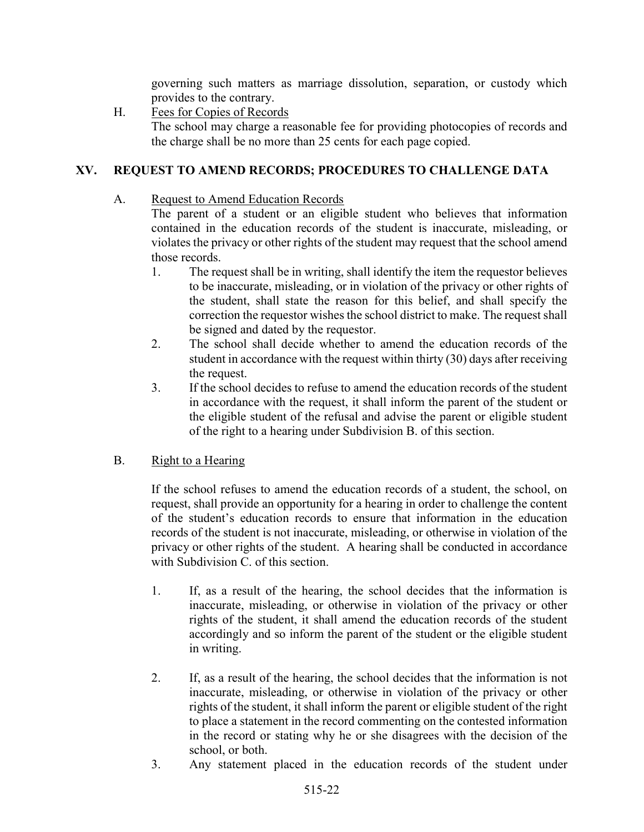governing such matters as marriage dissolution, separation, or custody which provides to the contrary.

H. Fees for Copies of Records

The school may charge a reasonable fee for providing photocopies of records and the charge shall be no more than 25 cents for each page copied.

### XV. REQUEST TO AMEND RECORDS; PROCEDURES TO CHALLENGE DATA

A. Request to Amend Education Records

The parent of a student or an eligible student who believes that information contained in the education records of the student is inaccurate, misleading, or violates the privacy or other rights of the student may request that the school amend those records.

- 1. The request shall be in writing, shall identify the item the requestor believes to be inaccurate, misleading, or in violation of the privacy or other rights of the student, shall state the reason for this belief, and shall specify the correction the requestor wishes the school district to make. The request shall be signed and dated by the requestor.
- 2. The school shall decide whether to amend the education records of the student in accordance with the request within thirty (30) days after receiving the request.
- 3. If the school decides to refuse to amend the education records of the student in accordance with the request, it shall inform the parent of the student or the eligible student of the refusal and advise the parent or eligible student of the right to a hearing under Subdivision B. of this section.
- B. Right to a Hearing

If the school refuses to amend the education records of a student, the school, on request, shall provide an opportunity for a hearing in order to challenge the content of the student's education records to ensure that information in the education records of the student is not inaccurate, misleading, or otherwise in violation of the privacy or other rights of the student. A hearing shall be conducted in accordance with Subdivision C. of this section.

- 1. If, as a result of the hearing, the school decides that the information is inaccurate, misleading, or otherwise in violation of the privacy or other rights of the student, it shall amend the education records of the student accordingly and so inform the parent of the student or the eligible student in writing.
- 2. If, as a result of the hearing, the school decides that the information is not inaccurate, misleading, or otherwise in violation of the privacy or other rights of the student, it shall inform the parent or eligible student of the right to place a statement in the record commenting on the contested information in the record or stating why he or she disagrees with the decision of the school, or both.
- 3. Any statement placed in the education records of the student under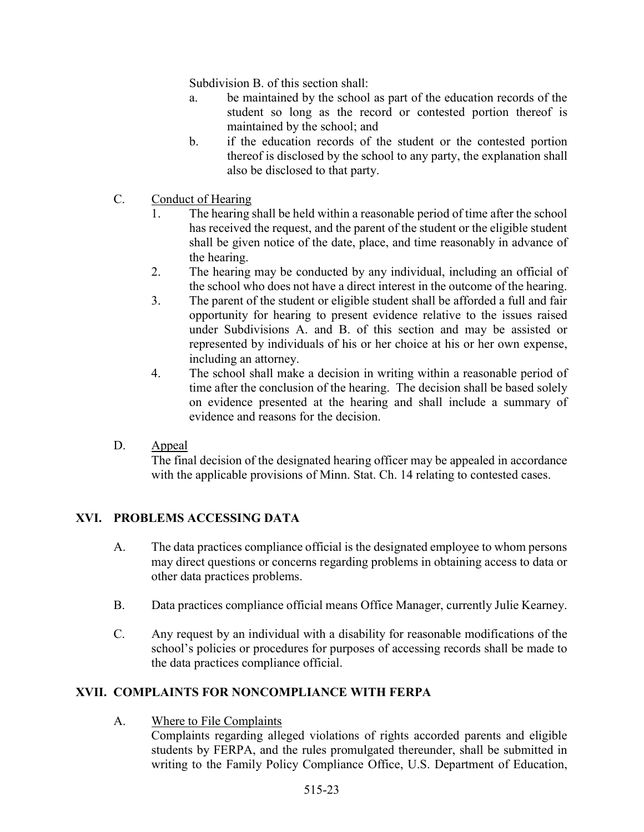Subdivision B. of this section shall:

- a. be maintained by the school as part of the education records of the student so long as the record or contested portion thereof is maintained by the school; and
- b. if the education records of the student or the contested portion thereof is disclosed by the school to any party, the explanation shall also be disclosed to that party.
- C. Conduct of Hearing
	- 1. The hearing shall be held within a reasonable period of time after the school has received the request, and the parent of the student or the eligible student shall be given notice of the date, place, and time reasonably in advance of the hearing.
	- 2. The hearing may be conducted by any individual, including an official of the school who does not have a direct interest in the outcome of the hearing.
	- 3. The parent of the student or eligible student shall be afforded a full and fair opportunity for hearing to present evidence relative to the issues raised under Subdivisions A. and B. of this section and may be assisted or represented by individuals of his or her choice at his or her own expense, including an attorney.
	- 4. The school shall make a decision in writing within a reasonable period of time after the conclusion of the hearing. The decision shall be based solely on evidence presented at the hearing and shall include a summary of evidence and reasons for the decision.
- D. Appeal

The final decision of the designated hearing officer may be appealed in accordance with the applicable provisions of Minn. Stat. Ch. 14 relating to contested cases.

# XVI. PROBLEMS ACCESSING DATA

- A. The data practices compliance official is the designated employee to whom persons may direct questions or concerns regarding problems in obtaining access to data or other data practices problems.
- B. Data practices compliance official means Office Manager, currently Julie Kearney.
- C. Any request by an individual with a disability for reasonable modifications of the school's policies or procedures for purposes of accessing records shall be made to the data practices compliance official.

### XVII. COMPLAINTS FOR NONCOMPLIANCE WITH FERPA

A. Where to File Complaints

Complaints regarding alleged violations of rights accorded parents and eligible students by FERPA, and the rules promulgated thereunder, shall be submitted in writing to the Family Policy Compliance Office, U.S. Department of Education,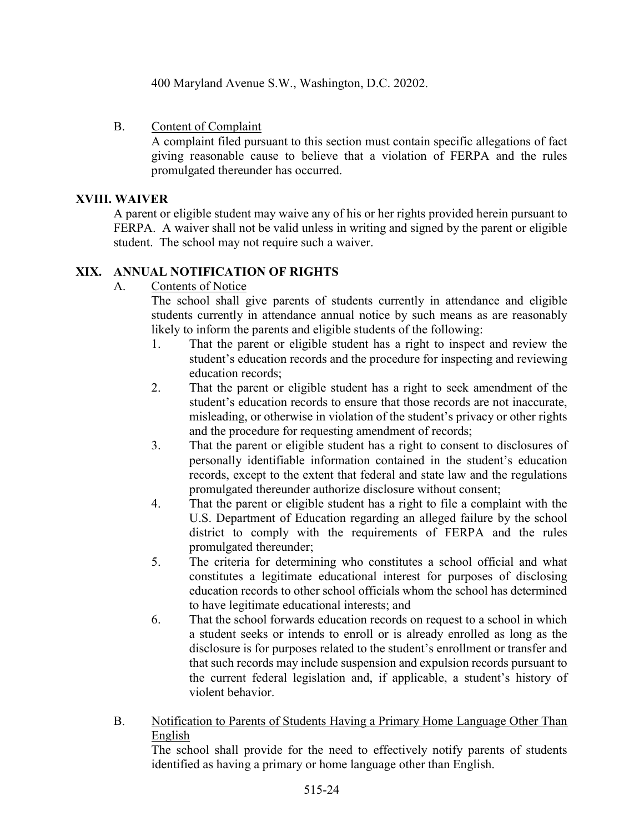400 Maryland Avenue S.W., Washington, D.C. 20202.

### B. Content of Complaint

A complaint filed pursuant to this section must contain specific allegations of fact giving reasonable cause to believe that a violation of FERPA and the rules promulgated thereunder has occurred.

#### XVIII. WAIVER

A parent or eligible student may waive any of his or her rights provided herein pursuant to FERPA. A waiver shall not be valid unless in writing and signed by the parent or eligible student. The school may not require such a waiver.

### XIX. ANNUAL NOTIFICATION OF RIGHTS

A. Contents of Notice

The school shall give parents of students currently in attendance and eligible students currently in attendance annual notice by such means as are reasonably likely to inform the parents and eligible students of the following:

- 1. That the parent or eligible student has a right to inspect and review the student's education records and the procedure for inspecting and reviewing education records;
- 2. That the parent or eligible student has a right to seek amendment of the student's education records to ensure that those records are not inaccurate, misleading, or otherwise in violation of the student's privacy or other rights and the procedure for requesting amendment of records;
- 3. That the parent or eligible student has a right to consent to disclosures of personally identifiable information contained in the student's education records, except to the extent that federal and state law and the regulations promulgated thereunder authorize disclosure without consent;
- 4. That the parent or eligible student has a right to file a complaint with the U.S. Department of Education regarding an alleged failure by the school district to comply with the requirements of FERPA and the rules promulgated thereunder;
- 5. The criteria for determining who constitutes a school official and what constitutes a legitimate educational interest for purposes of disclosing education records to other school officials whom the school has determined to have legitimate educational interests; and
- 6. That the school forwards education records on request to a school in which a student seeks or intends to enroll or is already enrolled as long as the disclosure is for purposes related to the student's enrollment or transfer and that such records may include suspension and expulsion records pursuant to the current federal legislation and, if applicable, a student's history of violent behavior.
- B. Notification to Parents of Students Having a Primary Home Language Other Than English

The school shall provide for the need to effectively notify parents of students identified as having a primary or home language other than English.